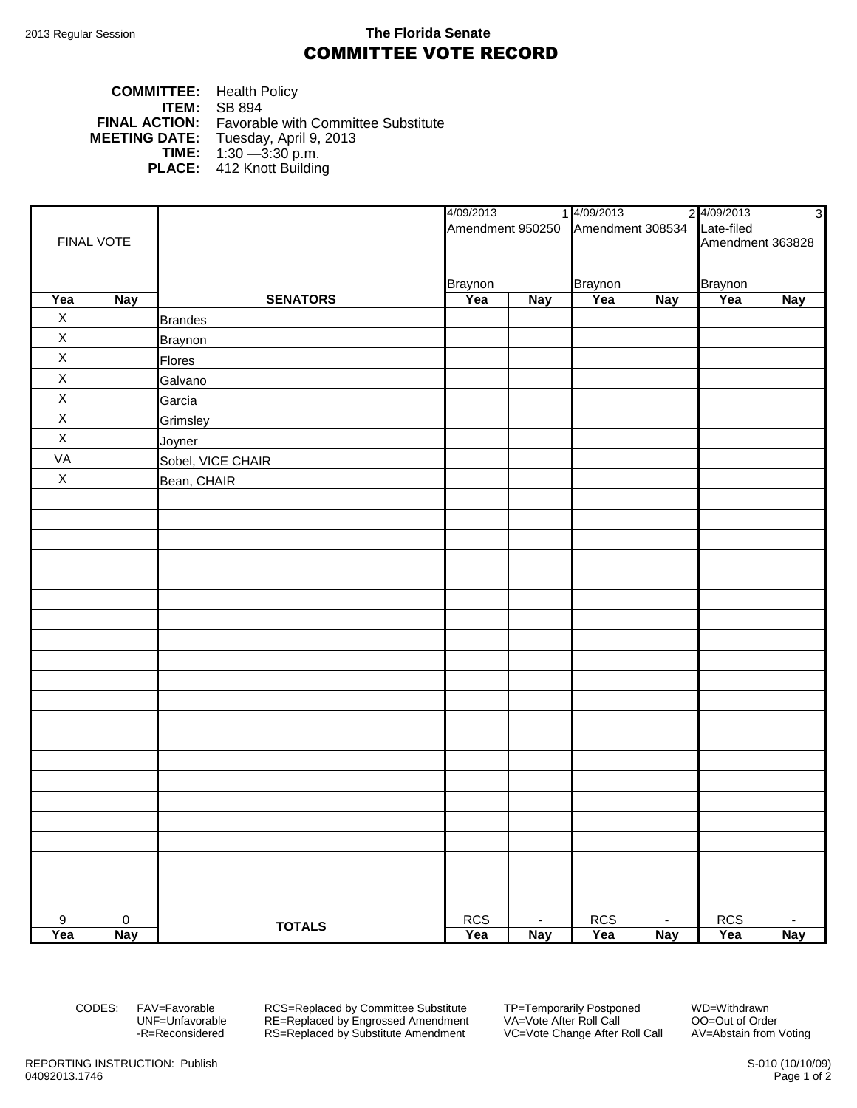## 2013 Regular Session **The Florida Senate** COMMITTEE VOTE RECORD

## **COMMITTEE:** Health Policy **ITEM:** SB 894 **FINAL ACTION:** Favorable with Committee Substitute **MEETING DATE:** Tuesday, April 9, 2013 **TIME:** 1:30 —3:30 p.m. **PLACE:** 412 Knott Building

| FINAL VOTE     |                |                   | 4/09/2013      |                                              | 14/09/2013 |            | 2 4/09/2013      | $\overline{3}$ |  |
|----------------|----------------|-------------------|----------------|----------------------------------------------|------------|------------|------------------|----------------|--|
|                |                |                   |                | Amendment 950250 Amendment 308534 Late-filed |            |            |                  |                |  |
|                |                |                   |                |                                              |            |            | Amendment 363828 |                |  |
|                |                |                   |                |                                              |            |            |                  |                |  |
|                |                |                   | <b>Braynon</b> |                                              | Braynon    |            | <b>Braynon</b>   |                |  |
| Yea            | <b>Nay</b>     | <b>SENATORS</b>   | Yea            | <b>Nay</b>                                   | Yea        | <b>Nay</b> | Yea              | <b>Nay</b>     |  |
| $\mathsf X$    |                | <b>Brandes</b>    |                |                                              |            |            |                  |                |  |
| $\mathsf X$    |                | <b>Braynon</b>    |                |                                              |            |            |                  |                |  |
| $\mathsf X$    |                | Flores            |                |                                              |            |            |                  |                |  |
| $\mathsf X$    |                | Galvano           |                |                                              |            |            |                  |                |  |
| $\mathsf X$    |                | Garcia            |                |                                              |            |            |                  |                |  |
| $\mathsf X$    |                | Grimsley          |                |                                              |            |            |                  |                |  |
| $\mathsf X$    |                | Joyner            |                |                                              |            |            |                  |                |  |
| VA             |                | Sobel, VICE CHAIR |                |                                              |            |            |                  |                |  |
| $\mathsf X$    |                | Bean, CHAIR       |                |                                              |            |            |                  |                |  |
|                |                |                   |                |                                              |            |            |                  |                |  |
|                |                |                   |                |                                              |            |            |                  |                |  |
|                |                |                   |                |                                              |            |            |                  |                |  |
|                |                |                   |                |                                              |            |            |                  |                |  |
|                |                |                   |                |                                              |            |            |                  |                |  |
|                |                |                   |                |                                              |            |            |                  |                |  |
|                |                |                   |                |                                              |            |            |                  |                |  |
|                |                |                   |                |                                              |            |            |                  |                |  |
|                |                |                   |                |                                              |            |            |                  |                |  |
|                |                |                   |                |                                              |            |            |                  |                |  |
|                |                |                   |                |                                              |            |            |                  |                |  |
|                |                |                   |                |                                              |            |            |                  |                |  |
|                |                |                   |                |                                              |            |            |                  |                |  |
|                |                |                   |                |                                              |            |            |                  |                |  |
|                |                |                   |                |                                              |            |            |                  |                |  |
|                |                |                   |                |                                              |            |            |                  |                |  |
|                |                |                   |                |                                              |            |            |                  |                |  |
|                |                |                   |                |                                              |            |            |                  |                |  |
|                |                |                   |                |                                              |            |            |                  |                |  |
|                |                |                   |                |                                              |            |            |                  |                |  |
|                |                |                   |                |                                              |            |            |                  |                |  |
| $\overline{9}$ | $\overline{0}$ | <b>TOTALS</b>     | <b>RCS</b>     | $\sim$                                       | <b>RCS</b> | $\sim$     | <b>RCS</b>       | $\blacksquare$ |  |
| Yea            | <b>Nay</b>     |                   | Yea            | <b>Nay</b>                                   | Yea        | <b>Nay</b> | Yea              | <b>Nay</b>     |  |

CODES: FAV=Favorable RCS=Replaced by Committee Substitute TP=Temporarily Postponed WD=Withdrawn<br>UNF=Unfavorable RE=Replaced by Engrossed Amendment VA=Vote After Roll Call 00=Out of Order UNF=Unfavorable RE=Replaced by Engrossed Amendment<br>-R=Reconsidered RS=Replaced by Substitute Amendment RS=Replaced by Substitute Amendment VC=Vote Change After Roll Call AV=Abstain from Voting